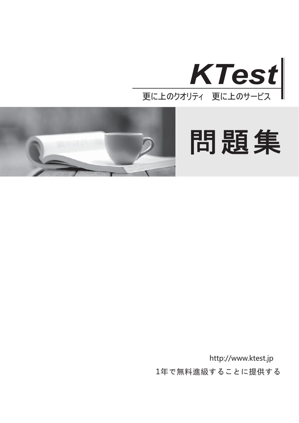



問題集

1年で無料進級することに提供する http://www.ktest.jp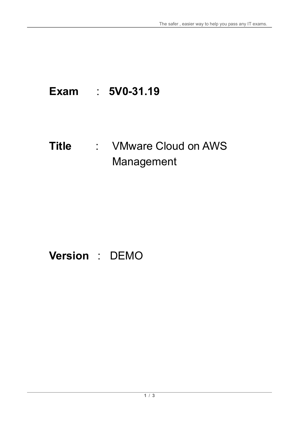# **Exam** : **5V0-31.19**

## **Title** : VMware Cloud on AWS Management

# **Version** : DEMO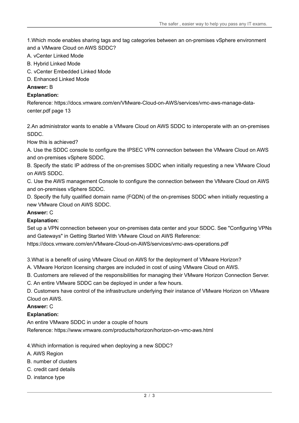1.Which mode enables sharing tags and tag categories between an on-premises vSphere environment and a VMware Cloud on AWS SDDC?

- A. vCenter Linked Mode
- B. Hybrid Linked Mode
- C. vCenter Embedded Linked Mode
- D. Enhanced Linked Mode
- **Answer:** B

#### **Explanation:**

Reference: https://docs.vmware.com/en/VMware-Cloud-on-AWS/services/vmc-aws-manage-datacenter.pdf page 13

2.An administrator wants to enable a VMware Cloud on AWS SDDC to interoperate with an on-premises SDDC.

How this is achieved?

A. Use the SDDC console to configure the IPSEC VPN connection between the VMware Cloud on AWS and on-premises vSphere SDDC.

B. Specify the static IP address of the on-premises SDDC when initially requesting a new VMware Cloud on AWS SDDC.

C. Use the AWS management Console to configure the connection between the VMware Cloud on AWS and on-premises vSphere SDDC.

D. Specify the fully qualified domain name (FQDN) of the on-premises SDDC when initially requesting a new VMware Cloud on AWS SDDC.

#### **Answer:** C

#### **Explanation:**

Set up a VPN connection between your on-premises data center and your SDDC. See "Configuring VPNs and Gateways" in Getting Started With VMware Cloud on AWS Reference:

https://docs.vmware.com/en/VMware-Cloud-on-AWS/services/vmc-aws-operations.pdf

3.What is a benefit of using VMware Cloud on AWS for the deployment of VMware Horizon?

A. VMware Horizon licensing charges are included in cost of using VMware Cloud on AWS.

B. Customers are relieved of the responsibilities for managing their VMware Horizon Connection Server.

C. An entire VMware SDDC can be deployed in under a few hours.

D. Customers have control of the infrastructure underlying their instance of VMware Horizon on VMware Cloud on AWS.

#### **Answer:** C

### **Explanation:**

An entire VMware SDDC in under a couple of hours Reference: https://www.vmware.com/products/horizon/horizon-on-vmc-aws.html

4.Which information is required when deploying a new SDDC?

- A. AWS Region
- B. number of clusters
- C. credit card details
- D. instance type